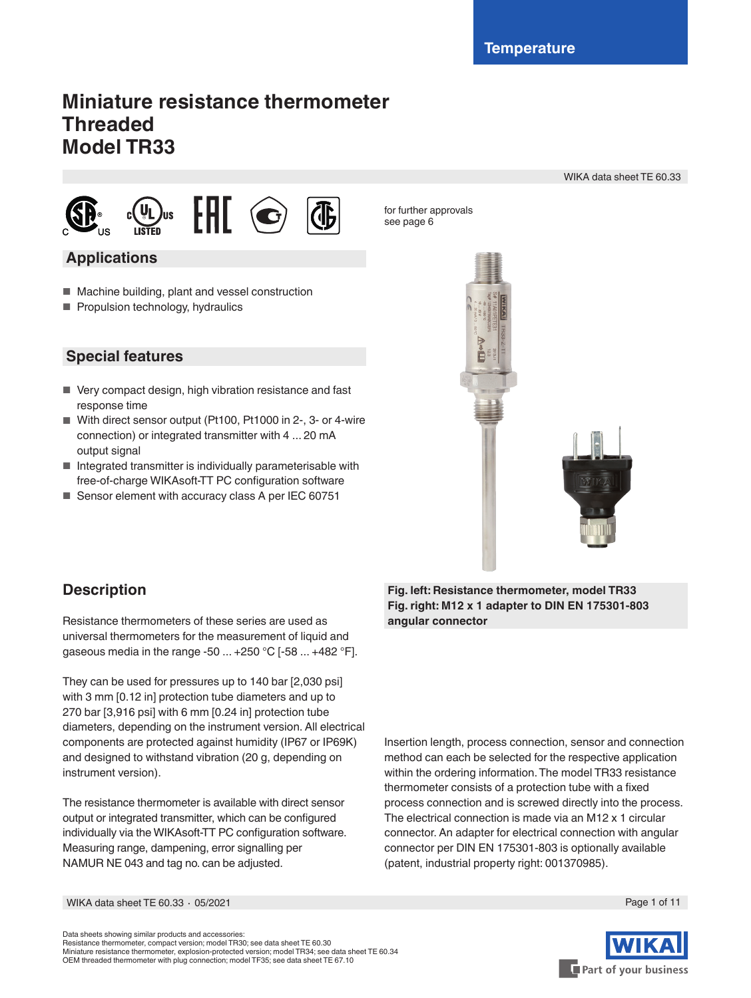# **Miniature resistance thermometer Threaded Model TR33**

WIKA data sheet TE 60.33



## **Applications**

- Machine building, plant and vessel construction
- Propulsion technology, hydraulics



for further approvals see page 6

## **Special features**

- Very compact design, high vibration resistance and fast response time
- With direct sensor output (Pt100, Pt1000 in 2-, 3- or 4-wire connection) or integrated transmitter with 4 ... 20 mA output signal
- Integrated transmitter is individually parameterisable with free-of-charge WIKAsoft-TT PC configuration software
- Sensor element with accuracy class A per IEC 60751

# **Description**

Resistance thermometers of these series are used as universal thermometers for the measurement of liquid and gaseous media in the range -50 ... +250 °C [-58 ... +482 °F].

They can be used for pressures up to 140 bar [2,030 psi] with 3 mm [0.12 in] protection tube diameters and up to 270 bar [3,916 psi] with 6 mm [0.24 in] protection tube diameters, depending on the instrument version. All electrical components are protected against humidity (IP67 or IP69K) and designed to withstand vibration (20 g, depending on instrument version).

The resistance thermometer is available with direct sensor output or integrated transmitter, which can be configured individually via the WIKAsoft-TT PC configuration software. Measuring range, dampening, error signalling per NAMUR NE 043 and tag no. can be adjusted.

**Fig. left: Resistance thermometer, model TR33 Fig. right: M12 x 1 adapter to DIN EN 175301-803 angular connector**

Insertion length, process connection, sensor and connection method can each be selected for the respective application within the ordering information. The model TR33 resistance thermometer consists of a protection tube with a fixed process connection and is screwed directly into the process. The electrical connection is made via an M12 x 1 circular connector. An adapter for electrical connection with angular connector per DIN EN 175301-803 is optionally available (patent, industrial property right: 001370985).

WIKA data sheet TE 60.33 ⋅ 05/2021 Page 1 of 11

Part of your business

Data sheets showing similar products and accessories: Resistance thermometer, compact version; model TR30; see data sheet TE 60.30 Miniature resistance thermometer, explosion-protected version; model TR34; see data sheet TE 60.34 OEM threaded thermometer with plug connection; model TF35; see data sheet TE 67.10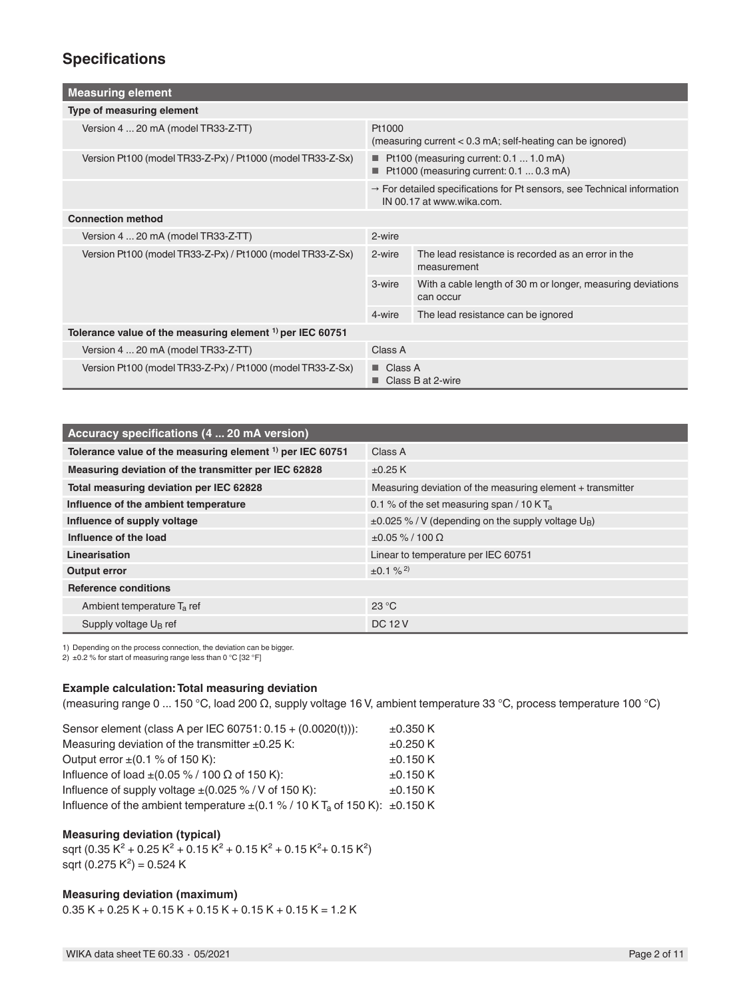## **Specifications**

| <b>Measuring element</b>                                      |                                                                                                                  |                                                                          |  |
|---------------------------------------------------------------|------------------------------------------------------------------------------------------------------------------|--------------------------------------------------------------------------|--|
| Type of measuring element                                     |                                                                                                                  |                                                                          |  |
| Version 4  20 mA (model TR33-Z-TT)                            | Pt1000<br>(measuring current $< 0.3$ mA; self-heating can be ignored)                                            |                                                                          |  |
| Version Pt100 (model TR33-Z-Px) / Pt1000 (model TR33-Z-Sx)    | Pt100 (measuring current: 0.1  1.0 mA)<br>Pt1000 (measuring current: $0.1 \dots 0.3$ mA)                         |                                                                          |  |
|                                                               | $\rightarrow$ For detailed specifications for Pt sensors, see Technical information<br>IN 00.17 at www.wika.com. |                                                                          |  |
| <b>Connection method</b>                                      |                                                                                                                  |                                                                          |  |
| Version 4  20 mA (model TR33-Z-TT)                            | 2-wire                                                                                                           |                                                                          |  |
| Version Pt100 (model TR33-Z-Px) / Pt1000 (model TR33-Z-Sx)    | 2-wire                                                                                                           | The lead resistance is recorded as an error in the<br>measurement        |  |
|                                                               | 3-wire                                                                                                           | With a cable length of 30 m or longer, measuring deviations<br>can occur |  |
|                                                               | 4-wire                                                                                                           | The lead resistance can be ignored                                       |  |
| Tolerance value of the measuring element $^{1}$ per IEC 60751 |                                                                                                                  |                                                                          |  |
| Version 4  20 mA (model TR33-Z-TT)                            | Class A                                                                                                          |                                                                          |  |
| Version Pt100 (model TR33-Z-Px) / Pt1000 (model TR33-Z-Sx)    | Class A<br>Class B at 2-wire                                                                                     |                                                                          |  |

| Accuracy specifications (4  20 mA version)                           |                                                                     |  |  |
|----------------------------------------------------------------------|---------------------------------------------------------------------|--|--|
| Tolerance value of the measuring element <sup>1)</sup> per IEC 60751 | Class A                                                             |  |  |
| Measuring deviation of the transmitter per IEC 62828                 | ±0.25 K                                                             |  |  |
| Total measuring deviation per IEC 62828                              | Measuring deviation of the measuring element + transmitter          |  |  |
| Influence of the ambient temperature                                 | 0.1 % of the set measuring span / 10 K $T_a$                        |  |  |
| Influence of supply voltage                                          | $\pm 0.025$ % / V (depending on the supply voltage U <sub>B</sub> ) |  |  |
| Influence of the load                                                | $±0.05\% / 100 Ω$                                                   |  |  |
| Linearisation                                                        | Linear to temperature per IEC 60751                                 |  |  |
| Output error                                                         | $\pm 0.1 \%$ <sup>2)</sup>                                          |  |  |
| <b>Reference conditions</b>                                          |                                                                     |  |  |
| Ambient temperature $T_a$ ref                                        | 23 °C                                                               |  |  |
| Supply voltage U <sub>B</sub> ref                                    | <b>DC 12 V</b>                                                      |  |  |

1) Depending on the process connection, the deviation can be bigger.

2) ±0.2 % for start of measuring range less than 0 °C [32 °F]

#### **Example calculation: Total measuring deviation**

(measuring range 0 ... 150 °C, load 200 Ω, supply voltage 16 V, ambient temperature 33 °C, process temperature 100 °C)

| Sensor element (class A per IEC 60751: 0.15 + (0.0020(t))):                           | $\pm 0.350$ K |
|---------------------------------------------------------------------------------------|---------------|
| Measuring deviation of the transmitter $\pm 0.25$ K:                                  | $±0.250$ K    |
| Output error $\pm (0.1 \% \text{ of } 150 \text{ K})$ :                               | $±0.150$ K    |
| Influence of load $\pm (0.05\% / 100 \Omega)$ of 150 K):                              | $±0.150$ K    |
| Influence of supply voltage $\pm$ (0.025 %/V of 150 K):                               | $±0.150$ K    |
| Influence of the ambient temperature $\pm (0.1\% / 10 K T_a$ of 150 K): $\pm 0.150 K$ |               |

### **Measuring deviation (typical)**

sqrt (0.35 K<sup>2</sup> + 0.25 K<sup>2</sup> + 0.15 K<sup>2</sup> + 0.15 K<sup>2</sup> + 0.15 K<sup>2</sup> + 0.15 K<sup>2</sup>) sqrt (0.275 K<sup>2</sup>) = 0.524 K

### **Measuring deviation (maximum)**

 $0.35 K + 0.25 K + 0.15 K + 0.15 K + 0.15 K + 0.15 K = 1.2 K$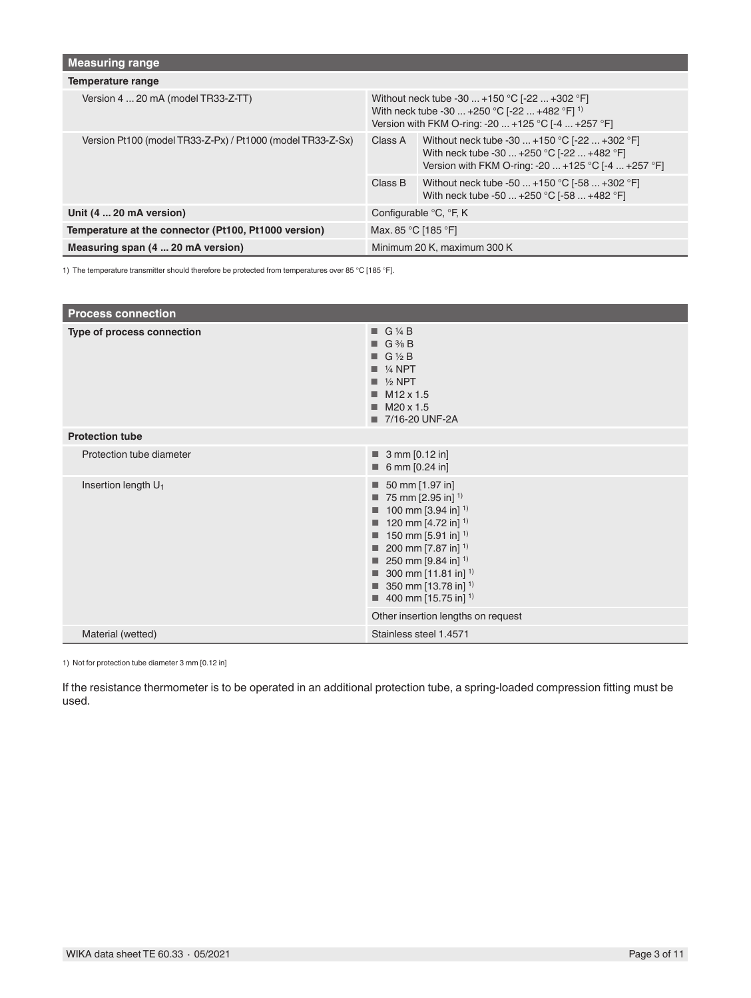| Measuring range                                            |                                                                                                                                                                  |                                                                                                                                                    |  |
|------------------------------------------------------------|------------------------------------------------------------------------------------------------------------------------------------------------------------------|----------------------------------------------------------------------------------------------------------------------------------------------------|--|
| Temperature range                                          |                                                                                                                                                                  |                                                                                                                                                    |  |
| Version 4  20 mA (model TR33-Z-TT)                         | Without neck tube -30  +150 °C [-22  +302 °F]<br>With neck tube -30  +250 °C [-22  +482 °F] <sup>1)</sup><br>Version with FKM O-ring: -20  +125 °C [-4  +257 °F] |                                                                                                                                                    |  |
| Version Pt100 (model TR33-Z-Px) / Pt1000 (model TR33-Z-Sx) | Class A                                                                                                                                                          | Without neck tube -30  +150 °C [-22  +302 °F]<br>With neck tube -30  +250 °C [-22  +482 °F]<br>Version with FKM O-ring: -20  +125 °C [-4  +257 °F] |  |
|                                                            | Class B                                                                                                                                                          | Without neck tube -50  +150 °C [-58  +302 °F]<br>With neck tube -50  +250 °C [-58  +482 °F]                                                        |  |
| Unit (4  20 mA version)                                    | Configurable °C, °F, K                                                                                                                                           |                                                                                                                                                    |  |
| Temperature at the connector (Pt100, Pt1000 version)       | Max. 85 °C [185 °F]                                                                                                                                              |                                                                                                                                                    |  |
| Measuring span (4  20 mA version)                          | Minimum 20 K, maximum 300 K                                                                                                                                      |                                                                                                                                                    |  |

1) The temperature transmitter should therefore be protected from temperatures over 85 °C [185 °F].

| <b>Process connection</b>       |                                                                                                                                                                                                                                                                                                                                                                                                            |
|---------------------------------|------------------------------------------------------------------------------------------------------------------------------------------------------------------------------------------------------------------------------------------------------------------------------------------------------------------------------------------------------------------------------------------------------------|
| Type of process connection      | $\blacksquare$ G 1/4 B<br>$\blacksquare$ G % B<br>$\blacksquare$ G 1/2 B<br>$\blacksquare$ 1/4 NPT<br>$\blacksquare$ 1/2 NPT<br>M <sub>12</sub> x 1.5<br>M20 x 1.5<br>■ 7/16-20 UNF-2A                                                                                                                                                                                                                     |
| <b>Protection tube</b>          |                                                                                                                                                                                                                                                                                                                                                                                                            |
| Protection tube diameter        | $\blacksquare$ 3 mm [0.12 in]<br>■ 6 mm [0.24 in]                                                                                                                                                                                                                                                                                                                                                          |
| Insertion length U <sub>1</sub> | 50 mm [1.97 in]<br>ш<br>$\blacksquare$ 75 mm [2.95 in] <sup>1)</sup><br>100 mm [3.94 in] <sup>1)</sup><br>120 mm [4.72 in] <sup>1)</sup><br>■<br>150 mm [5.91 in] <sup>1)</sup><br>■<br>200 mm [7.87 in] $^{1}$<br>250 mm [9.84 in] <sup>1)</sup><br>٠<br>300 mm [11.81 in] <sup>1)</sup><br>350 mm [13.78 in] <sup>1)</sup><br>■<br>400 mm [15.75 in] <sup>1)</sup><br>Other insertion lengths on request |
| Material (wetted)               | Stainless steel 1.4571                                                                                                                                                                                                                                                                                                                                                                                     |

1) Not for protection tube diameter 3 mm [0.12 in]

If the resistance thermometer is to be operated in an additional protection tube, a spring-loaded compression fitting must be used.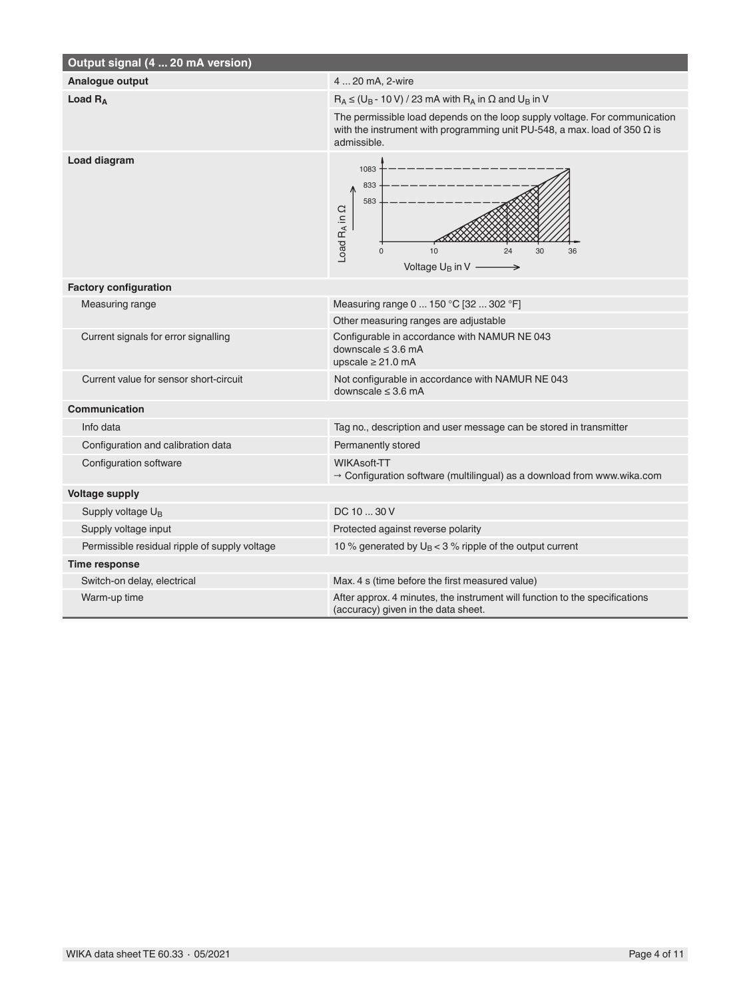| Output signal (4  20 mA version)              |                                                                                                                                                                               |  |
|-----------------------------------------------|-------------------------------------------------------------------------------------------------------------------------------------------------------------------------------|--|
| Analogue output                               | 4  20 mA, 2-wire                                                                                                                                                              |  |
| Load $R_A$                                    | $R_A \leq (U_B - 10 V) / 23$ mA with $R_A$ in $\Omega$ and $U_B$ in V                                                                                                         |  |
|                                               | The permissible load depends on the loop supply voltage. For communication<br>with the instrument with programming unit PU-548, a max. load of 350 $\Omega$ is<br>admissible. |  |
| Load diagram                                  | 1083<br>833<br>583<br>Load RA in Q<br>10<br>$\Omega$<br>24<br>30<br>36<br>Voltage U <sub>B</sub> in V<br>→                                                                    |  |
| <b>Factory configuration</b>                  |                                                                                                                                                                               |  |
| Measuring range                               | Measuring range 0  150 °C [32  302 °F]                                                                                                                                        |  |
|                                               | Other measuring ranges are adjustable                                                                                                                                         |  |
| Current signals for error signalling          | Configurable in accordance with NAMUR NE 043<br>downscale $\leq$ 3.6 mA<br>upscale $\geq 21.0$ mA                                                                             |  |
| Current value for sensor short-circuit        | Not configurable in accordance with NAMUR NE 043<br>downscale $\leq$ 3.6 mA                                                                                                   |  |
| <b>Communication</b>                          |                                                                                                                                                                               |  |
| Info data                                     | Tag no., description and user message can be stored in transmitter                                                                                                            |  |
| Configuration and calibration data            | Permanently stored                                                                                                                                                            |  |
| Configuration software                        | <b>WIKAsoft-TT</b><br>$\rightarrow$ Configuration software (multilingual) as a download from www.wika.com                                                                     |  |
| <b>Voltage supply</b>                         |                                                                                                                                                                               |  |
| Supply voltage U <sub>B</sub>                 | DC 10  30 V                                                                                                                                                                   |  |
| Supply voltage input                          | Protected against reverse polarity                                                                                                                                            |  |
| Permissible residual ripple of supply voltage | 10 % generated by $U_B < 3$ % ripple of the output current                                                                                                                    |  |
| Time response                                 |                                                                                                                                                                               |  |
| Switch-on delay, electrical                   | Max. 4 s (time before the first measured value)                                                                                                                               |  |
| Warm-up time                                  | After approx. 4 minutes, the instrument will function to the specifications<br>(accuracy) given in the data sheet.                                                            |  |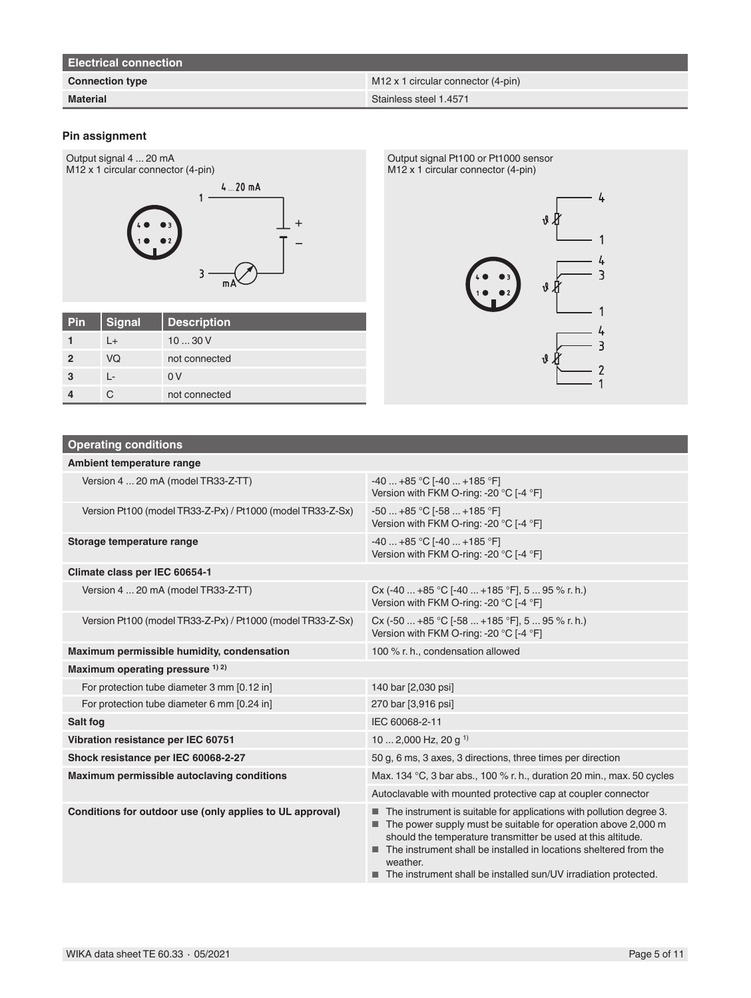| <b>Electrical connection</b> |                                           |
|------------------------------|-------------------------------------------|
| <b>Connection type</b>       | $M12 \times 1$ circular connector (4-pin) |
| <b>Material</b>              | Stainless steel 1.4571                    |

### **Pin assignment**



### **Operating conditions**

**4** C not connected

| Ambient temperature range                                  |                                                                                                                                                                                                                                                                                                                                                           |
|------------------------------------------------------------|-----------------------------------------------------------------------------------------------------------------------------------------------------------------------------------------------------------------------------------------------------------------------------------------------------------------------------------------------------------|
| Version 4  20 mA (model TR33-Z-TT)                         | $-40+85$ °C [ $-40+185$ °F]<br>Version with FKM O-ring: -20 °C [-4 °F]                                                                                                                                                                                                                                                                                    |
| Version Pt100 (model TR33-Z-Px) / Pt1000 (model TR33-Z-Sx) | $-50+85$ °C [ $-58+185$ °F]<br>Version with FKM O-ring: -20 °C [-4 °F]                                                                                                                                                                                                                                                                                    |
| Storage temperature range                                  | $-40+85$ °C [ $-40+185$ °F]<br>Version with FKM O-ring: -20 °C [-4 °F]                                                                                                                                                                                                                                                                                    |
| Climate class per IEC 60654-1                              |                                                                                                                                                                                                                                                                                                                                                           |
| Version 4  20 mA (model TR33-Z-TT)                         | Cx (-40  +85 °C [-40  +185 °F], 5  95 % r. h.)<br>Version with FKM O-ring: -20 °C [-4 °F]                                                                                                                                                                                                                                                                 |
| Version Pt100 (model TR33-Z-Px) / Pt1000 (model TR33-Z-Sx) | $Cx$ (-50  +85 °C [-58  +185 °F], 5  95 % r. h.)<br>Version with FKM O-ring: -20 °C [-4 °F]                                                                                                                                                                                                                                                               |
| Maximum permissible humidity, condensation                 | 100 % r. h., condensation allowed                                                                                                                                                                                                                                                                                                                         |
| Maximum operating pressure 1) 2)                           |                                                                                                                                                                                                                                                                                                                                                           |
| For protection tube diameter 3 mm [0.12 in]                | 140 bar [2,030 psi]                                                                                                                                                                                                                                                                                                                                       |
| For protection tube diameter 6 mm [0.24 in]                | 270 bar [3,916 psi]                                                                                                                                                                                                                                                                                                                                       |
| <b>Salt fog</b>                                            | IEC 60068-2-11                                                                                                                                                                                                                                                                                                                                            |
| Vibration resistance per IEC 60751                         | 10  2,000 Hz, 20 g <sup>1)</sup>                                                                                                                                                                                                                                                                                                                          |
| Shock resistance per IEC 60068-2-27                        | 50 g, 6 ms, 3 axes, 3 directions, three times per direction                                                                                                                                                                                                                                                                                               |
| Maximum permissible autoclaving conditions                 | Max. 134 °C, 3 bar abs., 100 % r. h., duration 20 min., max. 50 cycles                                                                                                                                                                                                                                                                                    |
|                                                            | Autoclavable with mounted protective cap at coupler connector                                                                                                                                                                                                                                                                                             |
| Conditions for outdoor use (only applies to UL approval)   | The instrument is suitable for applications with pollution degree 3.<br>The power supply must be suitable for operation above 2,000 m<br>should the temperature transmitter be used at this altitude.<br>The instrument shall be installed in locations sheltered from the<br>weather.<br>The instrument shall be installed sun/UV irradiation protected. |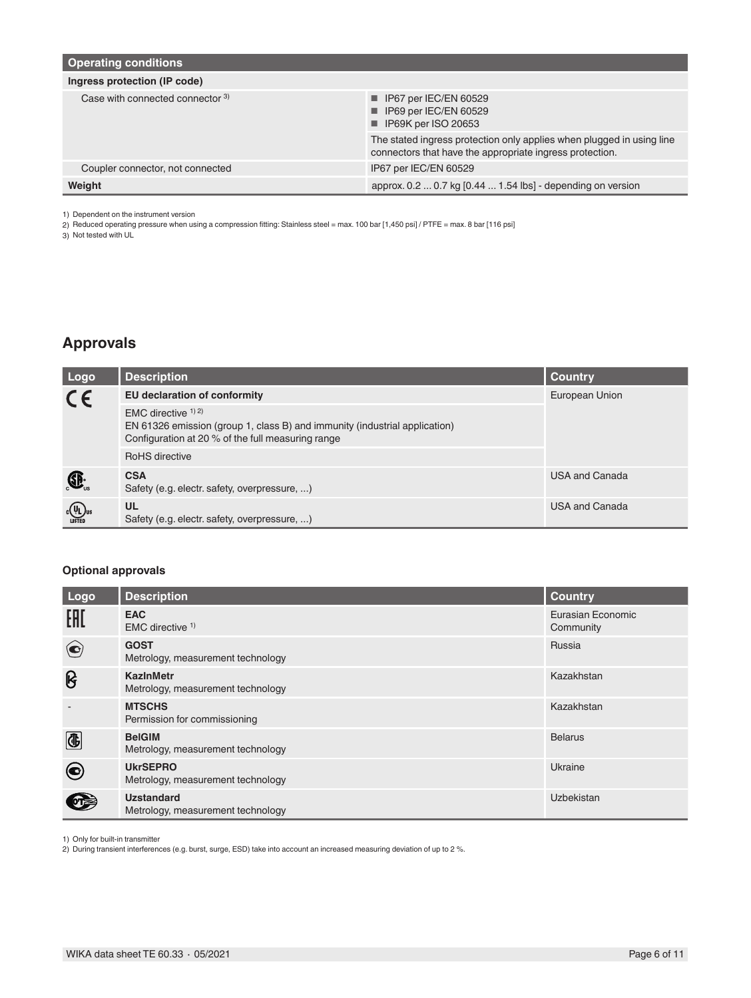| <b>Operating conditions</b>      |                                                                                                                                   |
|----------------------------------|-----------------------------------------------------------------------------------------------------------------------------------|
| Ingress protection (IP code)     |                                                                                                                                   |
| Case with connected connector 3) | $\blacksquare$ IP67 per IEC/EN 60529<br>$\blacksquare$ IP69 per IEC/EN 60529<br>■ IP69K per ISO 20653                             |
|                                  | The stated ingress protection only applies when plugged in using line<br>connectors that have the appropriate ingress protection. |
| Coupler connector, not connected | IP67 per IEC/EN 60529                                                                                                             |
| Weight                           | approx. 0.2  0.7 kg [0.44  1.54 lbs] - depending on version                                                                       |

1) Dependent on the instrument version

2) Reduced operating pressure when using a compression fitting: Stainless steel = max. 100 bar [1,450 psi] / PTFE = max. 8 bar [116 psi]

3) Not tested with UL

# **Approvals**

| Logo                                                              | <b>Description</b>                                                                                                                                        | Country               |
|-------------------------------------------------------------------|-----------------------------------------------------------------------------------------------------------------------------------------------------------|-----------------------|
| $C\epsilon$                                                       | <b>EU declaration of conformity</b>                                                                                                                       | European Union        |
|                                                                   | EMC directive $(1)$ 2)<br>EN 61326 emission (group 1, class B) and immunity (industrial application)<br>Configuration at 20 % of the full measuring range |                       |
|                                                                   | RoHS directive                                                                                                                                            |                       |
| $\bigoplus$ <sub>us</sub>                                         | <b>CSA</b><br>Safety (e.g. electr. safety, overpressure, )                                                                                                | <b>USA and Canada</b> |
| $c \left(\frac{\mathsf{U}_{\text{L}}}{\mathsf{LISTED}}\right)$ us | <b>UL</b><br>Safety (e.g. electr. safety, overpressure, )                                                                                                 | <b>USA and Canada</b> |

### **Optional approvals**

| <b>Logo</b>              | <b>Description</b>                                     | <b>Country</b>                 |
|--------------------------|--------------------------------------------------------|--------------------------------|
| EAC                      | <b>EAC</b><br>EMC directive $1$ )                      | Eurasian Economic<br>Community |
| $\left( \bullet \right)$ | <b>GOST</b><br>Metrology, measurement technology       | Russia                         |
| ၆                        | KazinMetr<br>Metrology, measurement technology         | Kazakhstan                     |
|                          | <b>MTSCHS</b><br>Permission for commissioning          | Kazakhstan                     |
| ®                        | <b>BelGIM</b><br>Metrology, measurement technology     | <b>Belarus</b>                 |
| ◉                        | <b>UkrSEPRO</b><br>Metrology, measurement technology   | Ukraine                        |
| $or \geq$                | <b>Uzstandard</b><br>Metrology, measurement technology | Uzbekistan                     |

1) Only for built-in transmitter 2) During transient interferences (e.g. burst, surge, ESD) take into account an increased measuring deviation of up to 2 %.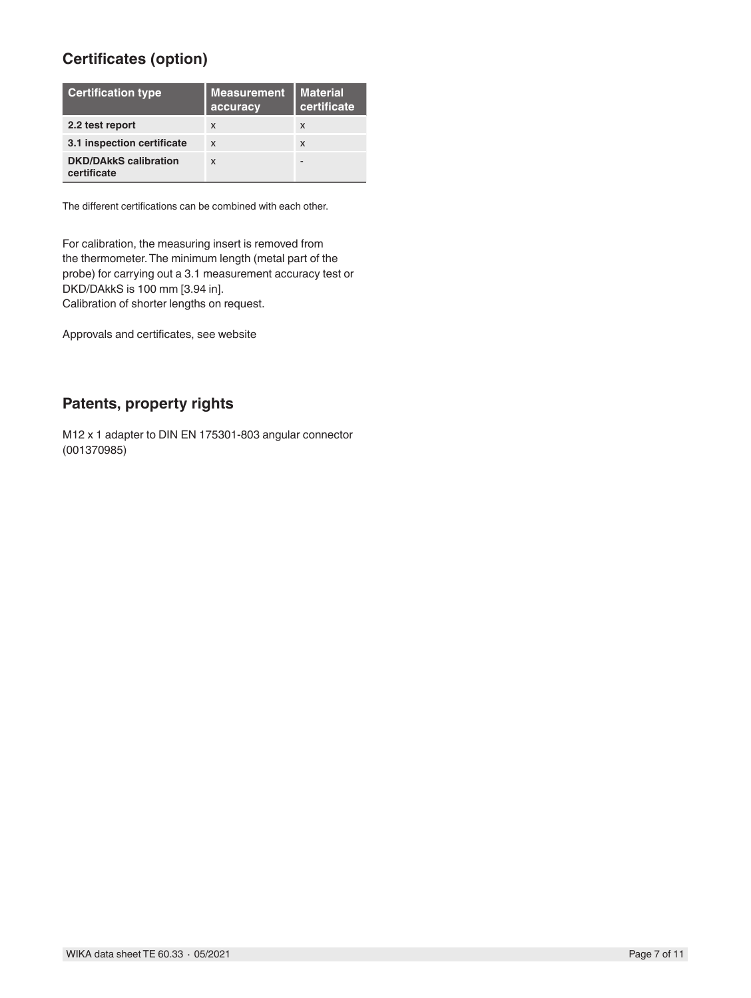# **Certificates (option)**

| <b>Certification type</b>                   | <b>Measurement</b><br>accuracy | <b>Material</b><br>certificate |
|---------------------------------------------|--------------------------------|--------------------------------|
| 2.2 test report                             | $\boldsymbol{\mathsf{x}}$      | X                              |
| 3.1 inspection certificate                  | $\boldsymbol{\mathsf{x}}$      | X                              |
| <b>DKD/DAkkS calibration</b><br>certificate | $\mathsf{x}$                   |                                |

The different certifications can be combined with each other.

For calibration, the measuring insert is removed from the thermometer. The minimum length (metal part of the probe) for carrying out a 3.1 measurement accuracy test or DKD/DAkkS is 100 mm [3.94 in]. Calibration of shorter lengths on request.

Approvals and certificates, see website

## **Patents, property rights**

M12 x 1 adapter to DIN EN 175301-803 angular connector (001370985)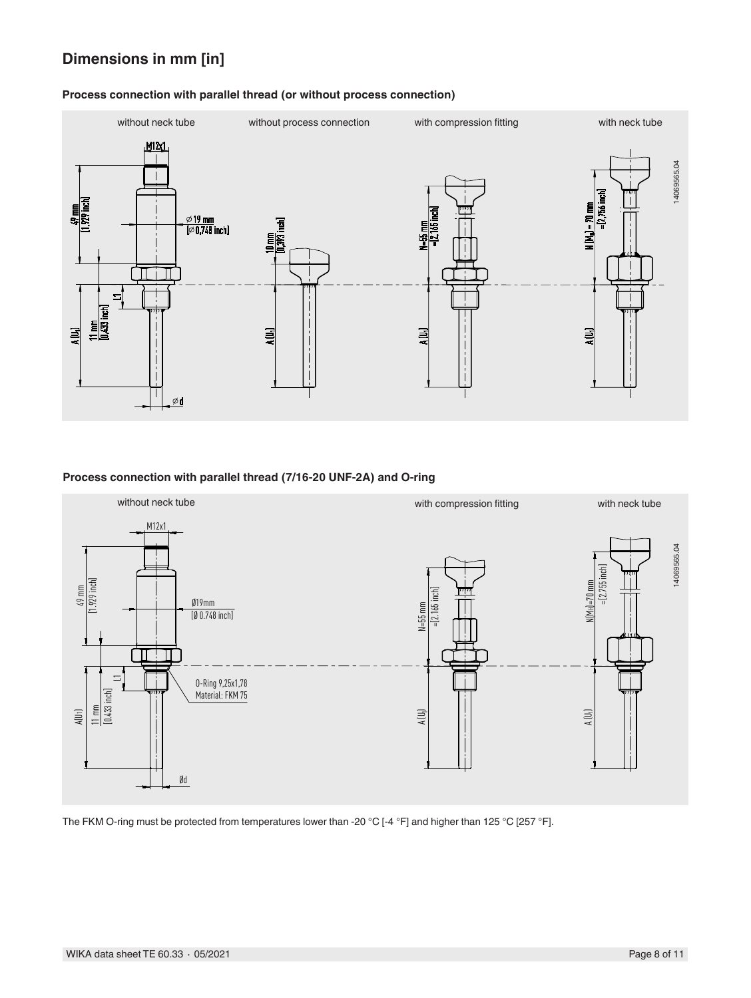# **Dimensions in mm [in]**

# without neck tube without process connection with compression fitting with neck tube M12x1 14069565.04 14069565.04 $-12,756$  inch  $N(M_H) = 70$  m <u>∅ 19 mm</u><br>[∅ 0,748 inch] Ę AT T  $\Box$  $\tilde{a}$  $\equiv$ ≣ Ξ  $\varphi$ d

### **Process connection with parallel thread (or without process connection)**

### **Process connection with parallel thread (7/16-20 UNF-2A) and O-ring**



The FKM O-ring must be protected from temperatures lower than -20 °C [-4 °F] and higher than 125 °C [257 °F].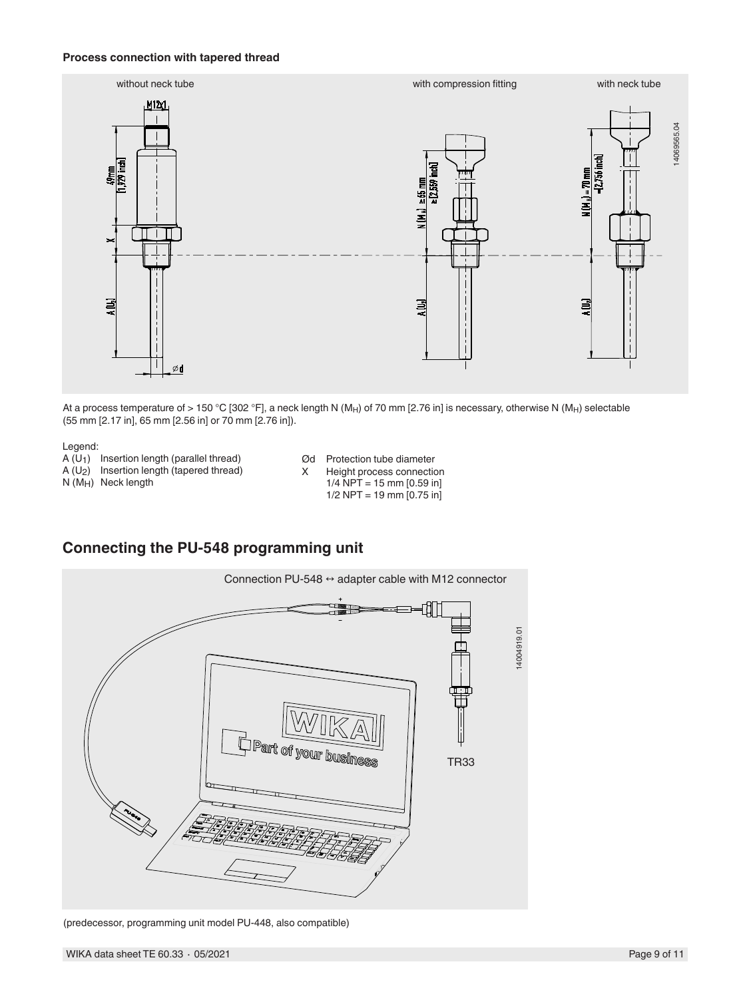### **Process connection with tapered thread**



At a process temperature of > 150 °C [302 °F], a neck length N (M<sub>H</sub>) of 70 mm [2.76 in] is necessary, otherwise N (M<sub>H</sub>) selectable (55 mm [2.17 in], 65 mm [2.56 in] or 70 mm [2.76 in]).

#### Legend:

A (U1) Insertion length (parallel thread)  $A (U_2)$  Insertion length (tapered thread) N (MH) Neck length

- Ød Protection tube diameter X Height process connection
	- $1/4$  NPT = 15 mm [0.59 in]
		- $1/2$  NPT = 19 mm  $[0.75$  in]



## **Connecting the PU-548 programming unit**

(predecessor, programming unit model PU-448, also compatible)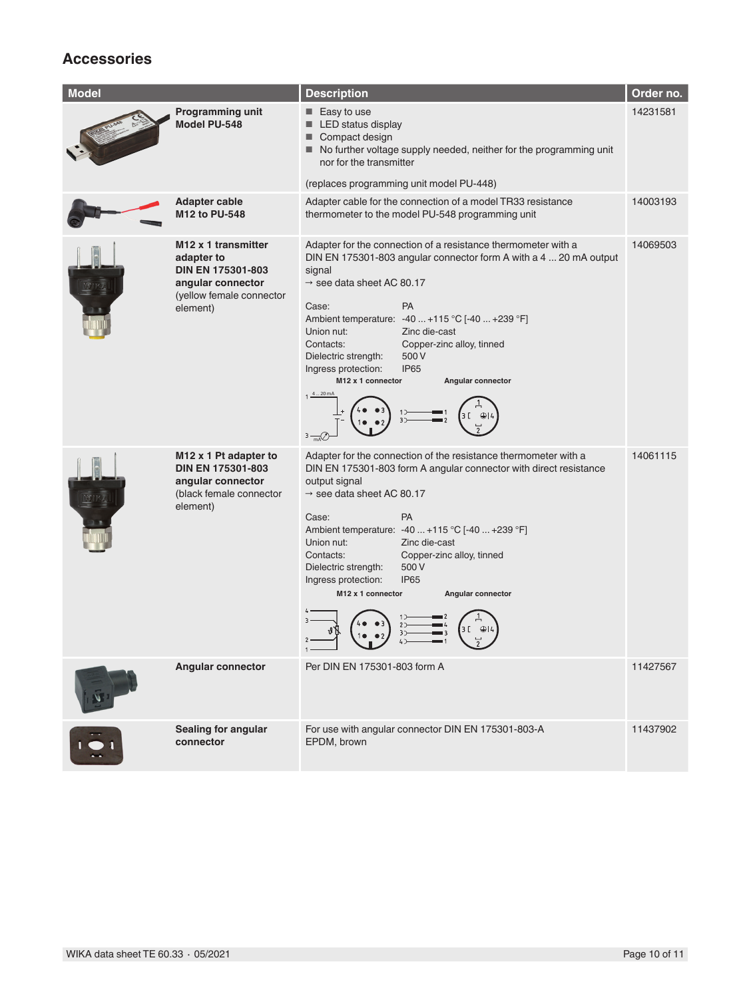# **Accessories**

| <b>Model</b> |                                                                                                                                        | <b>Description</b>                                                                                                                                                                                                                                                                                                                                                                                                                                                                                                     | Order no. |
|--------------|----------------------------------------------------------------------------------------------------------------------------------------|------------------------------------------------------------------------------------------------------------------------------------------------------------------------------------------------------------------------------------------------------------------------------------------------------------------------------------------------------------------------------------------------------------------------------------------------------------------------------------------------------------------------|-----------|
|              | Programming unit<br>Model PU-548                                                                                                       | $\blacksquare$ Easy to use<br>LED status display<br>Compact design<br>■<br>No further voltage supply needed, neither for the programming unit<br>nor for the transmitter<br>(replaces programming unit model PU-448)                                                                                                                                                                                                                                                                                                   | 14231581  |
|              | <b>Adapter cable</b><br>M12 to PU-548                                                                                                  | Adapter cable for the connection of a model TR33 resistance<br>thermometer to the model PU-548 programming unit                                                                                                                                                                                                                                                                                                                                                                                                        | 14003193  |
|              | M <sub>12</sub> x 1 transmitter<br>adapter to<br><b>DIN EN 175301-803</b><br>angular connector<br>(yellow female connector<br>element) | Adapter for the connection of a resistance thermometer with a<br>DIN EN 175301-803 angular connector form A with a 4  20 mA output<br>signal<br>$\rightarrow$ see data sheet AC 80.17<br>Case:<br><b>PA</b><br>Ambient temperature: -40  +115 °C [-40  +239 °F]<br>Union nut:<br>Zinc die-cast<br>Contacts:<br>Copper-zinc alloy, tinned<br>500 V<br>Dielectric strength:<br><b>IP65</b><br>Ingress protection:<br>M <sub>12</sub> x 1 connector<br>Angular connector<br>$1 \frac{4 - 20}{2}$<br>3<br>$3 \frac{1}{mA}$ | 14069503  |
|              | M <sub>12</sub> x 1 Pt adapter to<br><b>DIN EN 175301-803</b><br>angular connector<br>(black female connector<br>element)              | Adapter for the connection of the resistance thermometer with a<br>DIN EN 175301-803 form A angular connector with direct resistance<br>output signal<br>$\rightarrow$ see data sheet AC 80.17<br><b>PA</b><br>Case:<br>Ambient temperature: -40  +115 °C [-40  +239 °F]<br>Union nut:<br>Zinc die-cast<br>Contacts:<br>Copper-zinc alloy, tinned<br>Dielectric strength:<br>500 V<br><b>IP65</b><br>Ingress protection:<br>M12 x 1 connector<br>Angular connector<br>Q                                                | 14061115  |
|              | <b>Angular connector</b>                                                                                                               | Per DIN EN 175301-803 form A                                                                                                                                                                                                                                                                                                                                                                                                                                                                                           | 11427567  |
|              | Sealing for angular<br>connector                                                                                                       | For use with angular connector DIN EN 175301-803-A<br>EPDM, brown                                                                                                                                                                                                                                                                                                                                                                                                                                                      | 11437902  |